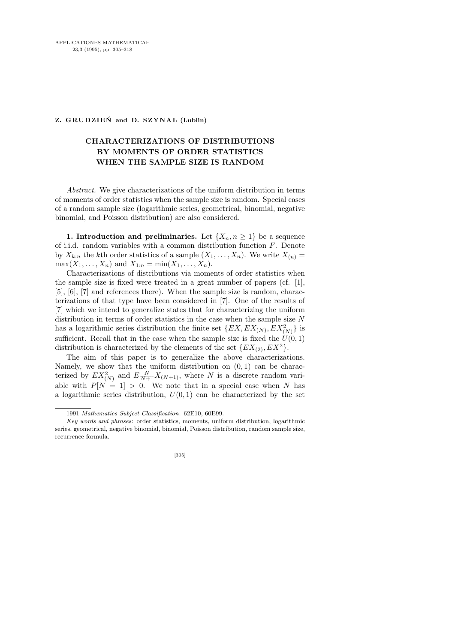## **Z. GRUDZIEŃ and D. SZYNAL (Lublin)**

## CHARACTERIZATIONS OF DISTRIBUTIONS BY MOMENTS OF ORDER STATISTICS WHEN THE SAMPLE SIZE IS RANDOM

Abstract. We give characterizations of the uniform distribution in terms of moments of order statistics when the sample size is random. Special cases of a random sample size (logarithmic series, geometrical, binomial, negative binomial, and Poisson distribution) are also considered.

1. Introduction and preliminaries. Let  $\{X_n, n \geq 1\}$  be a sequence of i.i.d. random variables with a common distribution function F. Denote by  $X_{k:n}$  the kth order statistics of a sample  $(X_1, \ldots, X_n)$ . We write  $X_{(n)} =$  $\max(X_1, ..., X_n)$  and  $X_{1:n} = \min(X_1, ..., X_n)$ .

Characterizations of distributions via moments of order statistics when the sample size is fixed were treated in a great number of papers (cf. [1], [5], [6], [7] and references there). When the sample size is random, characterizations of that type have been considered in [7]. One of the results of [7] which we intend to generalize states that for characterizing the uniform distribution in terms of order statistics in the case when the sample size  $N$ has a logarithmic series distribution the finite set  $\{EX, EX_{(N)}, EX_{(N)}^2\}$  is sufficient. Recall that in the case when the sample size is fixed the  $U(0, 1)$ distribution is characterized by the elements of the set  $\{EX_{(2)}, EX^2\}$ .

The aim of this paper is to generalize the above characterizations. Namely, we show that the uniform distribution on  $(0, 1)$  can be characterized by  $EX_{(N)}^2$  and  $E_{N+1}^{\{N\}}X_{(N+1)}$ , where N is a discrete random variable with  $P[N = 1] > 0$ . We note that in a special case when N has a logarithmic series distribution,  $U(0, 1)$  can be characterized by the set

<sup>1991</sup> *Mathematics Subject Classification*: 62E10, 60E99.

*Key words and phrases*: order statistics, moments, uniform distribution, logarithmic series, geometrical, negative binomial, binomial, Poisson distribution, random sample size, recurrence formula.

<sup>[305]</sup>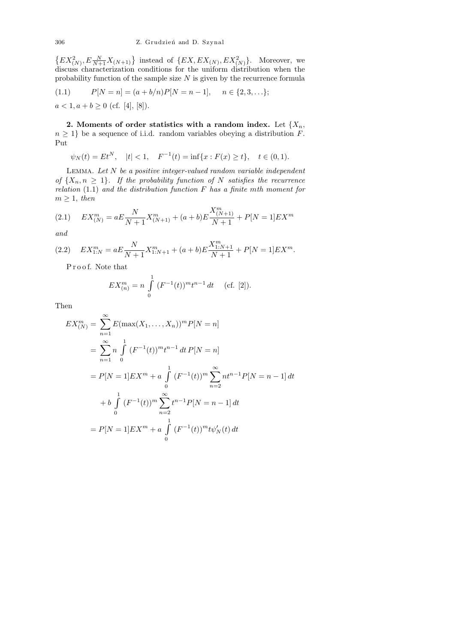$\{EX_{(N)}^2, E_{N+1}^N X_{(N+1)}\}$  instead of  $\{EX, EX_{(N)}, EX_{(N)}^2\}$ . Moreover, we discuss characterization conditions for the uniform distribution when the probability function of the sample size  $N$  is given by the recurrence formula

(1.1) 
$$
P[N = n] = (a + b/n)P[N = n - 1], \quad n \in \{2, 3, ... \};
$$

$$
a < 1, a + b \ge 0 \text{ (cf. [4], [8]).}
$$

2. Moments of order statistics with a random index. Let  $\{X_n,$  $n \geq 1$ } be a sequence of i.i.d. random variables obeying a distribution F. Put

$$
\psi_N(t) = Et^N
$$
,  $|t| < 1$ ,  $F^{-1}(t) = \inf\{x : F(x) \ge t\}$ ,  $t \in (0, 1)$ .

LEMMA. Let  $N$  be a positive integer-valued random variable independent of  $\{X_n, n \geq 1\}$ . If the probability function of N satisfies the recurrence relation  $(1.1)$  and the distribution function F has a finite mth moment for  $m \geq 1$ , then

(2.1) 
$$
EX_{(N)}^m = aE \frac{N}{N+1} X_{(N+1)}^m + (a+b)E \frac{X_{(N+1)}^m}{N+1} + P[N=1]EX^m
$$

and

(2.2) 
$$
EX_{1:N}^m = aE\frac{N}{N+1}X_{1:N+1}^m + (a+b)E\frac{X_{1:N+1}^m}{N+1} + P[N=1]EX^m.
$$

Proof. Note that

$$
EX_{(n)}^{m} = n \int_{0}^{1} (F^{-1}(t))^{m} t^{n-1} dt \quad \text{(cf. [2]).}
$$

Then

$$
EX_{(N)}^{m} = \sum_{n=1}^{\infty} E(\max(X_1, ..., X_n))^{m} P[N = n]
$$
  
=  $\sum_{n=1}^{\infty} n \int_{0}^{1} (F^{-1}(t))^{m} t^{n-1} dt P[N = n]$   
=  $P[N = 1] EX^{m} + a \int_{0}^{1} (F^{-1}(t))^{m} \sum_{n=2}^{\infty} n t^{n-1} P[N = n - 1] dt$   
+  $b \int_{0}^{1} (F^{-1}(t))^{m} \sum_{n=2}^{\infty} t^{n-1} P[N = n - 1] dt$   
=  $P[N = 1] EX^{m} + a \int_{0}^{1} (F^{-1}(t))^{m} t \psi_{N}'(t) dt$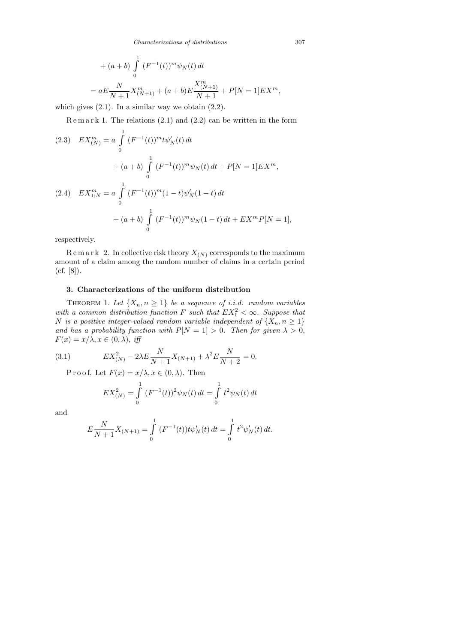+ 
$$
(a + b) \int_{0}^{1} (F^{-1}(t))^{m} \psi_{N}(t) dt
$$
  
=  $aE \frac{N}{N+1} X_{(N+1)}^{m} + (a + b)E \frac{X_{(N+1)}^{m}}{N+1} + P[N = 1] EX^{m},$ 

which gives (2.1). In a similar way we obtain (2.2).

 $R$  e m a r k 1. The relations  $(2.1)$  and  $(2.2)$  can be written in the form

(2.3) 
$$
EX_{(N)}^{m} = a \int_{0}^{1} (F^{-1}(t))^{m} t \psi_{N}'(t) dt
$$

$$
+ (a+b) \int_{0}^{1} (F^{-1}(t))^{m} \psi_{N}(t) dt + P[N = 1] EX^{m},
$$

$$
(2.4) \quad EX_{1:N}^{m} = a \int_{0}^{1} (F^{-1}(t))^{m} (1-t) \psi_{N}'(1-t) dt
$$

$$
+ (a+b) \int_{0}^{1} (F^{-1}(t))^{m} \psi_{N}(1-t) dt + EX^{m} P[N = 1],
$$

respectively.

 $R \in \mathbb{R}$  and  $R$  2. In collective risk theory  $X_{(N)}$  corresponds to the maximum amount of a claim among the random number of claims in a certain period (cf. [8]).

## 3. Characterizations of the uniform distribution

THEOREM 1. Let  $\{X_n, n \geq 1\}$  be a sequence of i.i.d. random variables with a common distribution function F such that  $EX_1^2 < \infty$ . Suppose that N is a positive integer-valued random variable independent of  $\{X_n, n \geq 1\}$ and has a probability function with  $P[N = 1] > 0$ . Then for given  $\lambda > 0$ ,  $F(x) = x/\lambda, x \in (0, \lambda), \text{ iff}$ 

(3.1) 
$$
EX_{(N)}^2 - 2\lambda E \frac{N}{N+1} X_{(N+1)} + \lambda^2 E \frac{N}{N+2} = 0.
$$

P r o o f. Let  $F(x) = x/\lambda, x \in (0, \lambda)$ . Then

$$
EX_{(N)}^2 = \int_0^1 (F^{-1}(t))^2 \psi_N(t) dt = \int_0^1 t^2 \psi_N(t) dt
$$

and

$$
E\frac{N}{N+1}X_{(N+1)} = \int_{0}^{1} (F^{-1}(t))t\psi'_{N}(t) dt = \int_{0}^{1} t^{2}\psi'_{N}(t) dt.
$$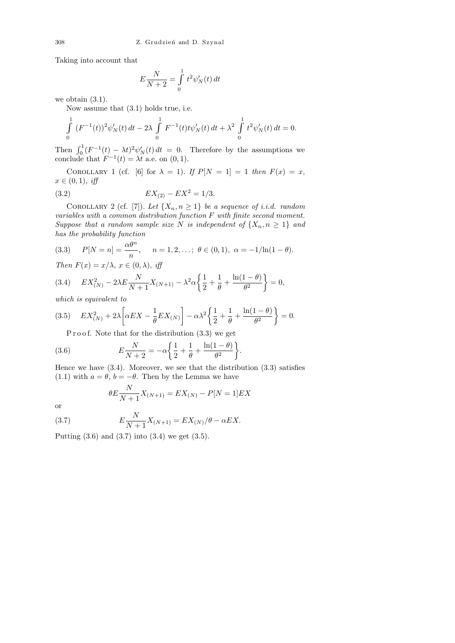Taking into account that

$$
E\frac{N}{N+2} = \int\limits_0^1 t^2 \psi'_N(t) dt
$$

we obtain (3.1).

Now assume that (3.1) holds true, i.e.

$$
\int_{0}^{1} (F^{-1}(t))^{2} \psi'_{N}(t) dt - 2\lambda \int_{0}^{1} F^{-1}(t) t \psi'_{N}(t) dt + \lambda^{2} \int_{0}^{1} t^{2} \psi'_{N}(t) dt = 0.
$$

Then  $\int_0^1 (F^{-1}(t) - \lambda t)^2 \psi'_N(t) dt = 0$ . Therefore by the assumptions we conclude that  $F^{-1}(t) = \lambda t$  a.e. on  $(0, 1)$ .

COROLLARY 1 (cf. [6] for  $\lambda = 1$ ). If  $P[N = 1] = 1$  then  $F(x) = x$ ,  $x \in (0,1), \text{ iff}$ 

(3.2) 
$$
EX_{(2)} - EX^2 = 1/3.
$$

COROLLARY 2 (cf. [7]). Let  $\{X_n, n \geq 1\}$  be a sequence of i.i.d. random variables with a common distribution function F with finite second moment. Suppose that a random sample size N is independent of  $\{X_n, n \geq 1\}$  and has the probability function

(3.3) 
$$
P[N = n] = \frac{\alpha \theta^n}{n}
$$
,  $n = 1, 2, ...$ ;  $\theta \in (0, 1)$ ,  $\alpha = -1/\ln(1 - \theta)$ .  
*Then*  $F(x) = x/\lambda$ ,  $x \in (0, \lambda)$ , *iff*

$$
(3.4) \tEX_{(N)}^2 - 2\lambda E \frac{N}{N+1} X_{(N+1)} - \lambda^2 \alpha \left\{ \frac{1}{2} + \frac{1}{\theta} + \frac{\ln(1-\theta)}{\theta^2} \right\} = 0,
$$

which is equivalent to

$$
(3.5) \quad EX_{(N)}^2 + 2\lambda \left[ \alpha EX - \frac{1}{\theta} EX_{(N)} \right] - \alpha \lambda^2 \left\{ \frac{1}{2} + \frac{1}{\theta} + \frac{\ln(1-\theta)}{\theta^2} \right\} = 0.
$$

P r o o f. Note that for the distribution  $(3.3)$  we get

(3.6) 
$$
E\frac{N}{N+2} = -\alpha \left\{ \frac{1}{2} + \frac{1}{\theta} + \frac{\ln(1-\theta)}{\theta^2} \right\}
$$

Hence we have  $(3.4)$ . Moreover, we see that the distribution  $(3.3)$  satisfies (1.1) with  $a = \theta$ ,  $b = -\theta$ . Then by the Lemma we have

.

$$
\theta E \frac{N}{N+1} X_{(N+1)} = EX_{(N)} - P[N=1] EX
$$

or

(3.7) 
$$
E\frac{N}{N+1}X_{(N+1)} = EX_{(N)}/\theta - \alpha EX.
$$

Putting (3.6) and (3.7) into (3.4) we get (3.5).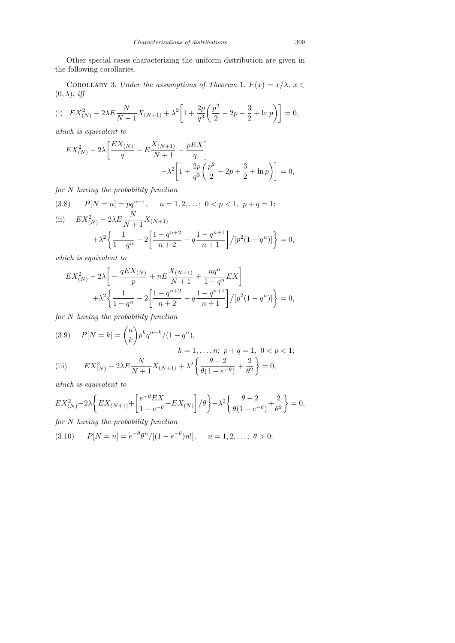Other special cases characterizing the uniform distribution are given in the following corollaries.

COROLLARY 3. Under the assumptions of Theorem 1,  $F(x) = x/\lambda$ ,  $x \in$  $(0, \lambda), \text{ iff}$ 

(i) 
$$
EX_{(N)}^{2} - 2\lambda E \frac{N}{N+1} X_{(N+1)} + \lambda^{2} \left[ 1 + \frac{2p}{q^{3}} \left( \frac{p^{2}}{2} - 2p + \frac{3}{2} + \ln p \right) \right] = 0,
$$

which is equivalent to

$$
EX_{(N)}^{2} - 2\lambda \left[ \frac{EX_{(N)}}{q} - E \frac{X_{(N+1)}}{N+1} - \frac{pEX}{q} \right] + \lambda^{2} \left[ 1 + \frac{2p}{q^{3}} \left( \frac{p^{2}}{2} - 2p + \frac{3}{2} + \ln p \right) \right] = 0,
$$

for N having the probability function

(3.8) 
$$
P[N = n] = pq^{n-1}, \quad n = 1, 2, ...; \ 0 < p < 1, \ p + q = 1;
$$
\n(ii) 
$$
EX_{(N)}^2 - 2\lambda E \frac{N}{N+1} X_{(N+1)} + \lambda^2 \left\{ \frac{1}{1-q^n} - 2 \left[ \frac{1-q^{n+2}}{n+2} - q \frac{1-q^{n+1}}{n+1} \right] / [p^2 (1-q^n)] \right\} = 0,
$$

which is equivalent to

$$
EX_{(N)}^{2} - 2\lambda \left[ -\frac{qEX_{(N)}}{p} + nE \frac{X_{(N+1)}}{N+1} + \frac{nq^{n}}{1-q^{n}} EX \right] + \lambda^{2} \left\{ \frac{1}{1-q^{n}} - 2\left[ \frac{1-q^{n+2}}{n+2} - q \frac{1-q^{n+1}}{n+1} \right] / [p^{2}(1-q^{n})] \right\} = 0,
$$

for N having the probability function

(3.9) 
$$
P[N = k] = \binom{n}{k} p^k q^{n-k} / (1 - q^n),
$$

$$
k = 1, ..., n; \ p + q = 1, \ 0 < p < 1;
$$
  
(iii) 
$$
EX_{(N)}^2 - 2\lambda E \frac{N}{N+1} X_{(N+1)} + \lambda^2 \left\{ \frac{\theta - 2}{\theta(1 - e^{-\theta})} + \frac{2}{\theta^2} \right\} = 0,
$$

which is equivalent to

$$
EX_{(N)}^2-2\lambda\bigg\{EX_{(N+1)}+\bigg[\frac{e^{-\theta}EX}{1-e^{-\theta}}-EX_{(N)}\bigg]\big/\theta\bigg\}+\lambda^2\bigg\{\frac{\theta-2}{\theta(1-e^{-\theta})}+\frac{2}{\theta^2}\bigg\}=0,
$$

for N having the probability function

(3.10) 
$$
P[N = n] = e^{-\theta} \theta^{n} / [(1 - e^{-\theta})n!], \quad n = 1, 2, \dots; \theta > 0;
$$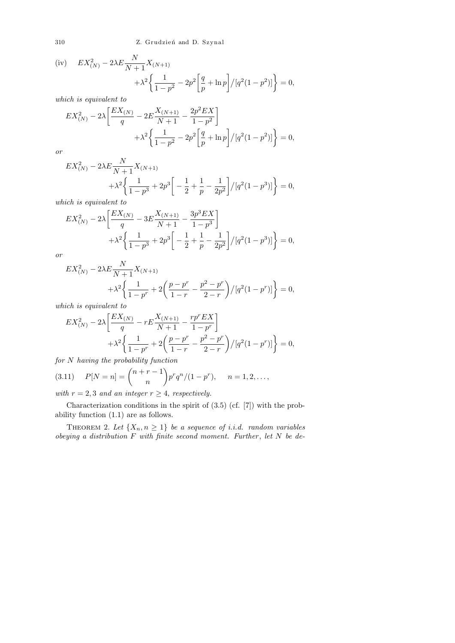310 Z. Grudzień and D. Szynal

(iv) 
$$
EX_{(N)}^{2} - 2\lambda E \frac{N}{N+1} X_{(N+1)} + \lambda^{2} \left\{ \frac{1}{1-p^{2}} - 2p^{2} \left[ \frac{q}{p} + \ln p \right] / [q^{2} (1-p^{2})] \right\} = 0,
$$
  
which is equivalent to

$$
EX_{(N)}^{2} - 2\lambda \left[ \frac{EX_{(N)}}{q} - 2E \frac{X_{(N+1)}}{N+1} - \frac{2p^{2}EX}{1-p^{2}} \right] + \lambda^{2} \left\{ \frac{1}{1-p^{2}} - 2p^{2} \left[ \frac{q}{p} + \ln p \right] / [q^{2}(1-p^{2})] \right\} = 0,
$$

or

$$
EX_{(N)}^2 - 2\lambda E \frac{N}{N+1} X_{(N+1)} + \lambda^2 \left\{ \frac{1}{1-p^3} + 2p^3 \left[ -\frac{1}{2} + \frac{1}{p} - \frac{1}{2p^2} \right] / [q^2 (1-p^3)] \right\} = 0,
$$

which is equivalent to

$$
EX_{(N)}^2 - 2\lambda \left[ \frac{EX_{(N)}}{q} - 3E \frac{X_{(N+1)}}{N+1} - \frac{3p^3 EX}{1-p^3} \right] + \lambda^2 \left\{ \frac{1}{1-p^3} + 2p^3 \left[ -\frac{1}{2} + \frac{1}{p} - \frac{1}{2p^2} \right] / [q^2(1-p^3)] \right\} = 0,
$$

or

$$
EX_{(N)}^{2} - 2\lambda E \frac{N}{N+1} X_{(N+1)} + \lambda^{2} \left\{ \frac{1}{1-p^{r}} + 2 \left( \frac{p-p^{r}}{1-r} - \frac{p^{2}-p^{r}}{2-r} \right) / [q^{2}(1-p^{r})] \right\} = 0,
$$

which is equivalent to

$$
EX_{(N)}^{2} - 2\lambda \left[ \frac{EX_{(N)}}{q} - rE \frac{X_{(N+1)}}{N+1} - \frac{rp^{r}EX}{1-p^{r}} \right] + \lambda^{2} \left\{ \frac{1}{1-p^{r}} + 2\left(\frac{p-p^{r}}{1-r} - \frac{p^{2}-p^{r}}{2-r}\right) / [q^{2}(1-p^{r})] \right\} = 0,
$$

for N having the probability function

(3.11) 
$$
P[N = n] = {n+r-1 \choose n} p^r q^n / (1-p^r), \quad n = 1, 2, \dots,
$$

with  $r = 2, 3$  and an integer  $r \geq 4$ , respectively.

Characterization conditions in the spirit of (3.5) (cf. [7]) with the probability function (1.1) are as follows.

THEOREM 2. Let  $\{X_n, n \geq 1\}$  be a sequence of i.i.d. random variables obeying a distribution  $F$  with finite second moment. Further, let  $N$  be de-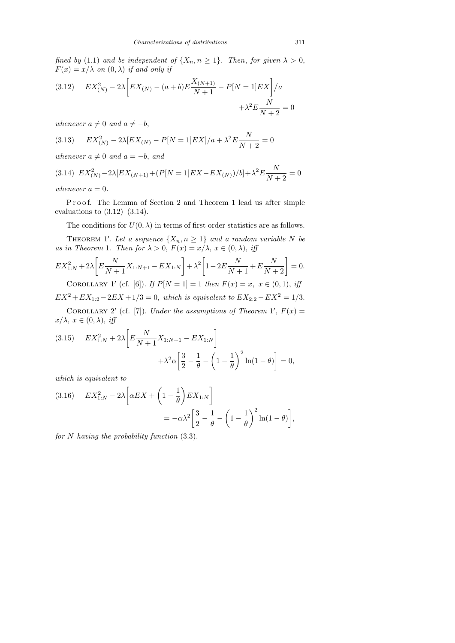fined by (1.1) and be independent of  $\{X_n, n \geq 1\}$ . Then, for given  $\lambda > 0$ ,  $F(x) = x/\lambda$  on  $(0, \lambda)$  if and only if

(3.12) 
$$
EX_{(N)}^{2} - 2\lambda \left[ EX_{(N)} - (a+b)E\frac{X_{(N+1)}}{N+1} - P[N=1]EX \right] / a + \lambda^{2} E \frac{N}{N+2} = 0
$$

whenever  $a \neq 0$  and  $a \neq -b$ ,

(3.13) 
$$
EX_{(N)}^2 - 2\lambda [EX_{(N)} - P[N=1]EX]/a + \lambda^2 E \frac{N}{N+2} = 0
$$

whenever  $a \neq 0$  and  $a = -b$ , and

$$
(3.14)\ \ EX_{(N)}^2 - 2\lambda [EX_{(N+1)} + (P[N=1]EX - EX_{(N)})/b] + \lambda^2 E \frac{N}{N+2} = 0
$$

whenever  $a = 0$ .

Proof. The Lemma of Section 2 and Theorem 1 lead us after simple evaluations to  $(3.12)$ – $(3.14)$ .

The conditions for  $U(0, \lambda)$  in terms of first order statistics are as follows.

THEOREM 1'. Let a sequence  $\{X_n, n \geq 1\}$  and a random variable N be as in Theorem 1. Then for  $\lambda > 0$ ,  $F(x) = x/\lambda$ ,  $x \in (0, \lambda)$ , iff

$$
EX_{1:N}^2 + 2\lambda \left[ E \frac{N}{N+1} X_{1:N+1} - EX_{1:N} \right] + \lambda^2 \left[ 1 - 2E \frac{N}{N+1} + E \frac{N}{N+2} \right] = 0.
$$

COROLLARY 1' (cf. [6]). If  $P[N = 1] = 1$  then  $F(x) = x, x \in (0, 1), if$  $EX^2 + EX_{1:2} - 2EX + 1/3 = 0$ , which is equivalent to  $EX_{2:2} - EX^2 = 1/3$ .

COROLLARY 2' (cf. [7]). Under the assumptions of Theorem 1',  $F(x) =$  $x/\lambda, x \in (0, \lambda), \text{ iff}$ 

(3.15) 
$$
EX_{1:N}^2 + 2\lambda \left[ E \frac{N}{N+1} X_{1:N+1} - EX_{1:N} \right] + \lambda^2 \alpha \left[ \frac{3}{2} - \frac{1}{\theta} - \left( 1 - \frac{1}{\theta} \right)^2 \ln(1-\theta) \right] = 0,
$$

which is equivalent to

(3.16) 
$$
EX_{1:N}^2 - 2\lambda \left[ \alpha EX + \left( 1 - \frac{1}{\theta} \right) EX_{1:N} \right] = -\alpha \lambda^2 \left[ \frac{3}{2} - \frac{1}{\theta} - \left( 1 - \frac{1}{\theta} \right)^2 \ln(1 - \theta) \right],
$$

for  $N$  having the probability function  $(3.3)$ .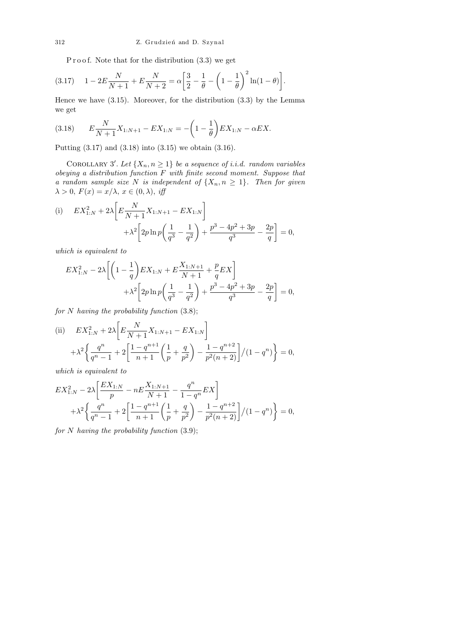P r o o f. Note that for the distribution  $(3.3)$  we get

$$
(3.17) \quad 1 - 2E\frac{N}{N+1} + E\frac{N}{N+2} = \alpha \left[\frac{3}{2} - \frac{1}{\theta} - \left(1 - \frac{1}{\theta}\right)^2 \ln(1 - \theta)\right].
$$

Hence we have (3.15). Moreover, for the distribution (3.3) by the Lemma we get

(3.18) 
$$
E\frac{N}{N+1}X_{1:N+1} - EX_{1:N} = -\left(1 - \frac{1}{\theta}\right)EX_{1:N} - \alpha EX.
$$

Putting (3.17) and (3.18) into (3.15) we obtain (3.16).

COROLLARY 3'. Let  $\{X_n, n \geq 1\}$  be a sequence of i.i.d. random variables obeying a distribution function  $F$  with finite second moment. Suppose that a random sample size N is independent of  $\{X_n, n \geq 1\}$ . Then for given  $\lambda > 0$ ,  $F(x) = x/\lambda$ ,  $x \in (0, \lambda)$ , iff

(i) 
$$
EX_{1:N}^2 + 2\lambda \left[ E \frac{N}{N+1} X_{1:N+1} - EX_{1:N} \right] + \lambda^2 \left[ 2p \ln p \left( \frac{1}{q^3} - \frac{1}{q^2} \right) + \frac{p^3 - 4p^2 + 3p}{q^3} - \frac{2p}{q} \right] = 0,
$$

which is equivalent to

$$
EX_{1:N}^2 - 2\lambda \left[ \left( 1 - \frac{1}{q} \right) EX_{1:N} + E \frac{X_{1:N+1}}{N+1} + \frac{p}{q} EX \right] + \lambda^2 \left[ 2p \ln p \left( \frac{1}{q^3} - \frac{1}{q^2} \right) + \frac{p^3 - 4p^2 + 3p}{q^3} - \frac{2p}{q} \right] = 0,
$$

for  $N$  having the probability function  $(3.8)$ ;

(ii) 
$$
EX_{1:N}^2 + 2\lambda \left[ E \frac{N}{N+1} X_{1:N+1} - EX_{1:N} \right] + \lambda^2 \left\{ \frac{q^n}{q^n - 1} + 2 \left[ \frac{1 - q^{n+1}}{n+1} \left( \frac{1}{p} + \frac{q}{p^2} \right) - \frac{1 - q^{n+2}}{p^2 (n+2)} \right] / (1 - q^n) \right\} = 0,
$$

which is equivalent to

$$
EX_{1:N}^2 - 2\lambda \left[ \frac{EX_{1:N}}{p} - nE \frac{X_{1:N+1}}{N+1} - \frac{q^n}{1-q^n} EX \right] + \lambda^2 \left\{ \frac{q^n}{q^n - 1} + 2 \left[ \frac{1-q^{n+1}}{n+1} \left( \frac{1}{p} + \frac{q}{p^2} \right) - \frac{1-q^{n+2}}{p^2(n+2)} \right] / (1-q^n) \right\} = 0,
$$

for  $N$  having the probability function  $(3.9)$ ;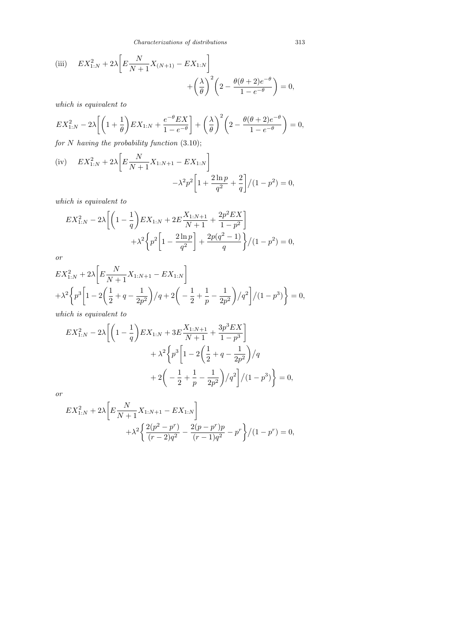*Characterizations of distributions* 313

(iii) 
$$
EX_{1:N}^2 + 2\lambda \left[ E \frac{N}{N+1} X_{(N+1)} - EX_{1:N} \right] + \left( \frac{\lambda}{\theta} \right)^2 \left( 2 - \frac{\theta(\theta + 2)e^{-\theta}}{1 - e^{-\theta}} \right) = 0,
$$

which is equivalent to

$$
EX_{1:N}^2 - 2\lambda \left[ \left( 1 + \frac{1}{\theta} \right) EX_{1:N} + \frac{e^{-\theta} EX}{1 - e^{-\theta}} \right] + \left( \frac{\lambda}{\theta} \right)^2 \left( 2 - \frac{\theta(\theta + 2)e^{-\theta}}{1 - e^{-\theta}} \right) = 0,
$$
  
for N, having the probability function (3.10).

for  $N$  having the probability function  $(3.10)$ ;

(iv) 
$$
EX_{1:N}^2 + 2\lambda \left[ E \frac{N}{N+1} X_{1:N+1} - EX_{1:N} \right]
$$
  

$$
-\lambda^2 p^2 \left[ 1 + \frac{2 \ln p}{q^2} + \frac{2}{q} \right] / (1 - p^2) = 0,
$$

which is equivalent to

$$
EX_{1:N}^2 - 2\lambda \left[ \left( 1 - \frac{1}{q} \right) EX_{1:N} + 2E \frac{X_{1:N+1}}{N+1} + \frac{2p^2 EX}{1-p^2} \right] + \lambda^2 \left\{ p^2 \left[ 1 - \frac{2 \ln p}{q^2} \right] + \frac{2p(q^2-1)}{q} \right\} / (1-p^2) = 0,
$$

or

$$
EX_{1:N}^2 + 2\lambda \left[ E \frac{N}{N+1} X_{1:N+1} - EX_{1:N} \right]
$$
  
+  $\lambda^2 \left\{ p^3 \left[ 1 - 2 \left( \frac{1}{2} + q - \frac{1}{2p^2} \right) / q + 2 \left( -\frac{1}{2} + \frac{1}{p} - \frac{1}{2p^2} \right) / q^2 \right] / (1 - p^3) \right\} = 0,$   
which is equivalent to

which is equivalent to

$$
EX_{1:N}^2 - 2\lambda \left[ \left( 1 - \frac{1}{q} \right) EX_{1:N} + 3E \frac{X_{1:N+1}}{N+1} + \frac{3p^3 EX}{1-p^3} \right] + \lambda^2 \left\{ p^3 \left[ 1 - 2 \left( \frac{1}{2} + q - \frac{1}{2p^2} \right) / q \right. + 2 \left( -\frac{1}{2} + \frac{1}{p} - \frac{1}{2p^2} \right) / q^2 \right] / (1-p^3) \right\} = 0,
$$

or

$$
EX_{1:N}^{2} + 2\lambda \left[ E \frac{N}{N+1} X_{1:N+1} - EX_{1:N} \right] + \lambda^{2} \left\{ \frac{2(p^{2} - p^{r})}{(r-2)q^{2}} - \frac{2(p-p^{r})p}{(r-1)q^{2}} - p^{r} \right\} / (1 - p^{r}) = 0,
$$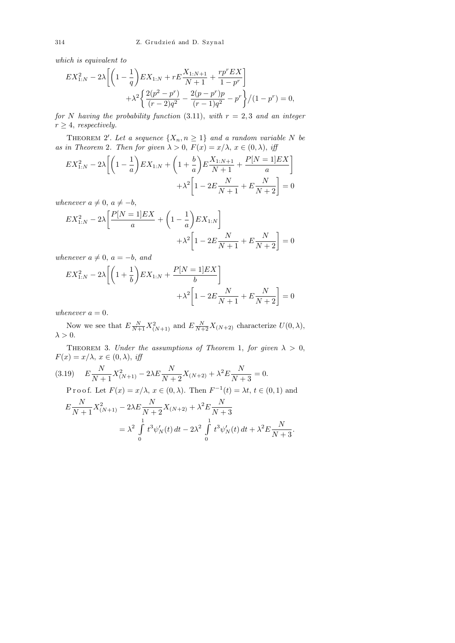which is equivalent to

$$
EX_{1:N}^{2} - 2\lambda \left[ \left( 1 - \frac{1}{q} \right) EX_{1:N} + rE \frac{X_{1:N+1}}{N+1} + \frac{rp^{r} EX}{1 - p^{r}} \right] + \lambda^{2} \left\{ \frac{2(p^{2} - p^{r})}{(r-2)q^{2}} - \frac{2(p-p^{r})p}{(r-1)q^{2}} - p^{r} \right\} / (1 - p^{r}) = 0,
$$

for N having the probability function (3.11), with  $r = 2, 3$  and an integer  $r \geq 4$ , respectively.

THEOREM 2'. Let a sequence  $\{X_n, n \geq 1\}$  and a random variable N be as in Theorem 2. Then for given  $\lambda > 0$ ,  $F(x) = x/\lambda$ ,  $x \in (0, \lambda)$ , iff

$$
EX_{1:N}^2 - 2\lambda \left[ \left( 1 - \frac{1}{a} \right) EX_{1:N} + \left( 1 + \frac{b}{a} \right) E \frac{X_{1:N+1}}{N+1} + \frac{P[N=1]EX}{a} \right] + \lambda^2 \left[ 1 - 2E \frac{N}{N+1} + E \frac{N}{N+2} \right] = 0
$$

whenever  $a \neq 0, a \neq -b$ ,

$$
EX_{1:N}^2 - 2\lambda \left[ \frac{P[N=1]EX}{a} + \left( 1 - \frac{1}{a} \right) EX_{1:N} \right] + \lambda^2 \left[ 1 - 2E \frac{N}{N+1} + E \frac{N}{N+2} \right] = 0
$$

whenever  $a \neq 0$ ,  $a = -b$ , and

$$
EX_{1:N}^{2} - 2\lambda \left[ \left( 1 + \frac{1}{b} \right) EX_{1:N} + \frac{P[N=1]EX}{b} \right] + \lambda^{2} \left[ 1 - 2E \frac{N}{N+1} + E \frac{N}{N+2} \right] = 0
$$

whenever  $a = 0$ .

Now we see that  $E \frac{N}{N+1} X^2_{(N+1)}$  and  $E \frac{N}{N+2} X_{(N+2)}$  characterize  $U(0, \lambda)$ ,  $\lambda > 0$ .

THEOREM 3. Under the assumptions of Theorem 1, for given  $\lambda > 0$ ,  $F(x) = x/\lambda, x \in (0, \lambda), \text{ iff}$ 

(3.19) 
$$
E \frac{N}{N+1} X_{(N+1)}^2 - 2\lambda E \frac{N}{N+2} X_{(N+2)} + \lambda^2 E \frac{N}{N+3} = 0.
$$
  
Proof. Let  $F(x) = x/\lambda$ ,  $x \in (0, \lambda)$ . Then  $F^{-1}(t) = \lambda t$ ,  $t \in (0, 1)$  and  

$$
E \frac{N}{N+1} X_{(N+1)}^2 - 2\lambda E \frac{N}{N+2} X_{(N+2)} + \lambda^2 E \frac{N}{N+3}
$$

$$
= \lambda^2 \int_0^1 t^3 \psi_N'(t) dt - 2\lambda^2 \int_0^1 t^3 \psi_N'(t) dt + \lambda^2 E \frac{N}{N+3}.
$$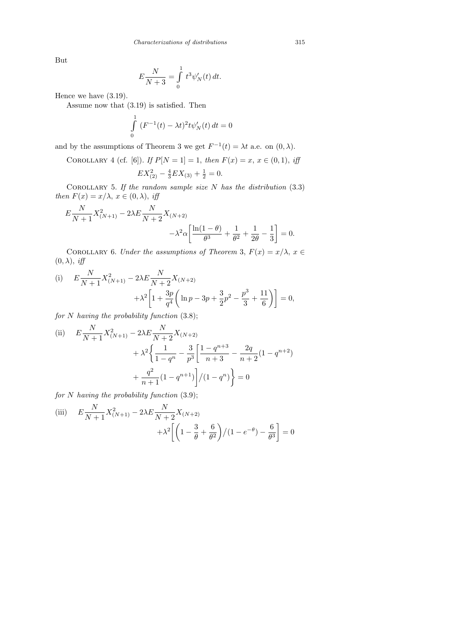But

$$
E\frac{N}{N+3} = \int_{0}^{1} t^3 \psi'_{N}(t) dt.
$$

Hence we have (3.19).

Assume now that (3.19) is satisfied. Then

$$
\int_{0}^{1} (F^{-1}(t) - \lambda t)^{2} t \psi'_{N}(t) dt = 0
$$

and by the assumptions of Theorem 3 we get  $F^{-1}(t) = \lambda t$  a.e. on  $(0, \lambda)$ .

COROLLARY 4 (cf. [6]). If  $P[N = 1] = 1$ , then  $F(x) = x, x \in (0, 1)$ , iff

$$
EX_{(2)}^2 - \frac{4}{3}EX_{(3)} + \frac{1}{2} = 0.
$$

COROLLARY 5. If the random sample size  $N$  has the distribution (3.3) then  $F(x) = x/\lambda$ ,  $x \in (0, \lambda)$ , iff

$$
E\frac{N}{N+1}X_{(N+1)}^2 - 2\lambda E\frac{N}{N+2}X_{(N+2)} - \lambda^2 \alpha \left[\frac{\ln(1-\theta)}{\theta^3} + \frac{1}{\theta^2} + \frac{1}{2\theta} - \frac{1}{3}\right] = 0.
$$

COROLLARY 6. Under the assumptions of Theorem 3,  $F(x) = x/\lambda$ ,  $x \in$  $(0, \lambda), \text{ iff}$ 

(i) 
$$
E \frac{N}{N+1} X_{(N+1)}^2 - 2\lambda E \frac{N}{N+2} X_{(N+2)} + \lambda^2 \left[ 1 + \frac{3p}{q^4} \left( \ln p - 3p + \frac{3}{2}p^2 - \frac{p^3}{3} + \frac{11}{6} \right) \right] = 0,
$$

for  $N$  having the probability function  $(3.8)$ ;

(ii) 
$$
E \frac{N}{N+1} X_{(N+1)}^2 - 2\lambda E \frac{N}{N+2} X_{(N+2)} + \lambda^2 \left\{ \frac{1}{1-q^n} - \frac{3}{p^3} \left[ \frac{1-q^{n+3}}{n+3} - \frac{2q}{n+2} (1-q^{n+2}) + \frac{q^2}{n+1} (1-q^{n+1}) \right] / (1-q^n) \right\} = 0
$$

for  $N$  having the probability function  $(3.9)$ ;

(iii) 
$$
E\frac{N}{N+1}X_{(N+1)}^2 - 2\lambda E\frac{N}{N+2}X_{(N+2)} + \lambda^2 \left[ \left( 1 - \frac{3}{\theta} + \frac{6}{\theta^2} \right) / (1 - e^{-\theta}) - \frac{6}{\theta^3} \right] = 0
$$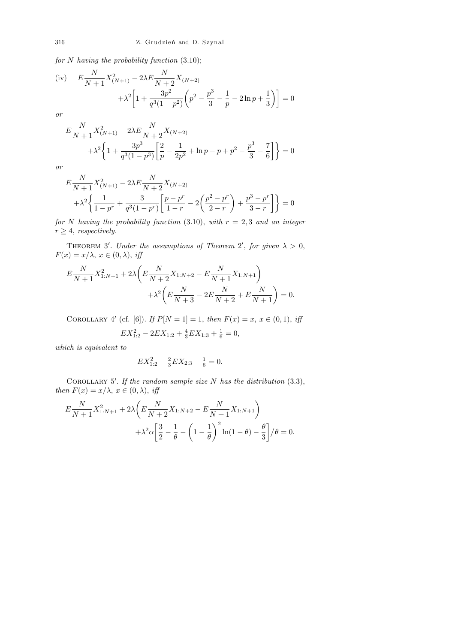for N having the probability function (3.10);

(iv) 
$$
E\frac{N}{N+1}X_{(N+1)}^2 - 2\lambda E\frac{N}{N+2}X_{(N+2)} + \lambda^2 \left[1 + \frac{3p^2}{q^3(1-p^2)}\left(p^2 - \frac{p^3}{3} - \frac{1}{p} - 2\ln p + \frac{1}{3}\right)\right] = 0
$$

or

$$
E\frac{N}{N+1}X_{(N+1)}^2 - 2\lambda E\frac{N}{N+2}X_{(N+2)} + \lambda^2 \left\{ 1 + \frac{3p^3}{q^3(1-p^3)} \left[ \frac{2}{p} - \frac{1}{2p^2} + \ln p - p + p^2 - \frac{p^3}{3} - \frac{7}{6} \right] \right\} = 0
$$

or

$$
E\frac{N}{N+1}X_{(N+1)}^2 - 2\lambda E\frac{N}{N+2}X_{(N+2)} + \lambda^2 \left\{\frac{1}{1-p^r} + \frac{3}{q^3(1-p^r)}\left[\frac{p-p^r}{1-r} - 2\left(\frac{p^2-p^r}{2-r}\right) + \frac{p^3-p^r}{3-r}\right]\right\} = 0
$$

for N having the probability function (3.10), with  $r = 2, 3$  and an integer  $r \geq 4$ , respectively.

THEOREM 3'. Under the assumptions of Theorem 2', for given  $\lambda > 0$ ,  $F(x) = x/\lambda, x \in (0, \lambda), \text{ iff}$ 

$$
E\frac{N}{N+1}X_{1:N+1}^2 + 2\lambda \left( E\frac{N}{N+2}X_{1:N+2} - E\frac{N}{N+1}X_{1:N+1} \right) + \lambda^2 \left( E\frac{N}{N+3} - 2E\frac{N}{N+2} + E\frac{N}{N+1} \right) = 0.
$$

COROLLARY 4' (cf. [6]). If  $P[N = 1] = 1$ , then  $F(x) = x, x \in (0, 1)$ , iff

$$
EX_{1:2}^2 - 2EX_{1:2} + \frac{4}{3}EX_{1:3} + \frac{1}{6} = 0,
$$

which is equivalent to

$$
EX_{1:2}^2 - \frac{2}{3}EX_{2:3} + \frac{1}{6} = 0.
$$

COROLLARY 5'. If the random sample size N has the distribution  $(3.3)$ , then  $F(x) = x/\lambda$ ,  $x \in (0, \lambda)$ , iff

$$
E\frac{N}{N+1}X_{1:N+1}^2 + 2\lambda \left( E\frac{N}{N+2}X_{1:N+2} - E\frac{N}{N+1}X_{1:N+1} \right) + \lambda^2 \alpha \left[ \frac{3}{2} - \frac{1}{\theta} - \left( 1 - \frac{1}{\theta} \right)^2 \ln(1-\theta) - \frac{\theta}{3} \right] / \theta = 0.
$$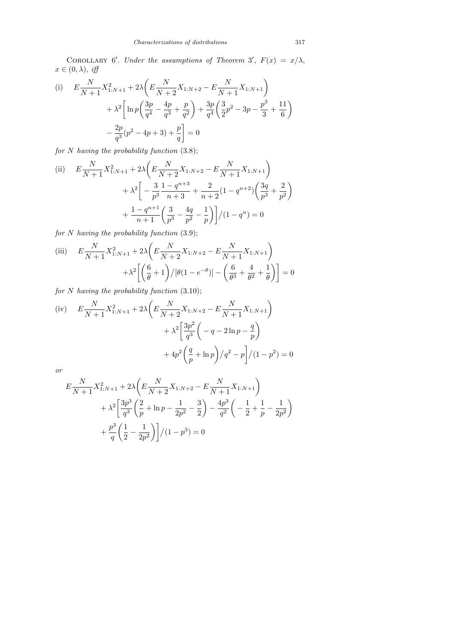COROLLARY 6'. Under the assumptions of Theorem 3',  $F(x) = x/\lambda$ ,  $x \in (0, \lambda), \text{ iff}$ 

(i) 
$$
E \frac{N}{N+1} X_{1:N+1}^2 + 2\lambda \left( E \frac{N}{N+2} X_{1:N+2} - E \frac{N}{N+1} X_{1:N+1} \right) + \lambda^2 \left[ \ln p \left( \frac{3p}{q^4} - \frac{4p}{q^3} + \frac{p}{q^2} \right) + \frac{3p}{q^4} \left( \frac{3}{2} p^2 - 3p - \frac{p^3}{3} + \frac{11}{6} \right) - \frac{2p}{q^3} (p^2 - 4p + 3) + \frac{p}{q} \right] = 0
$$

for  $N$  having the probability function  $(3.8)$ ;

(ii) 
$$
E \frac{N}{N+1} X_{1:N+1}^2 + 2\lambda \left( E \frac{N}{N+2} X_{1:N+2} - E \frac{N}{N+1} X_{1:N+1} \right) + \lambda^2 \left[ -\frac{3}{p^3} \frac{1-q^{n+3}}{n+3} + \frac{2}{n+2} (1-q^{n+2}) \left( \frac{3q}{p^3} + \frac{2}{p^2} \right) + \frac{1-q^{n+1}}{n+1} \left( \frac{3}{p^3} - \frac{4q}{p^2} - \frac{1}{p} \right) \right] / (1-q^n) = 0
$$

for  $N$  having the probability function  $(3.9)$ ;

(iii) 
$$
E \frac{N}{N+1} X_{1:N+1}^2 + 2\lambda \left( E \frac{N}{N+2} X_{1:N+2} - E \frac{N}{N+1} X_{1:N+1} \right) + \lambda^2 \left[ \left( \frac{6}{\theta} + 1 \right) / [\theta (1 - e^{-\theta})] - \left( \frac{6}{\theta^3} + \frac{4}{\theta^2} + \frac{1}{\theta} \right) \right] = 0
$$

for N having the probability function  $(3.10)$ ;

(iv) 
$$
E \frac{N}{N+1} X_{1:N+1}^2 + 2\lambda \left( E \frac{N}{N+2} X_{1:N+2} - E \frac{N}{N+1} X_{1:N+1} \right) + \lambda^2 \left[ \frac{3p^2}{q^3} \left( -q - 2 \ln p - \frac{q}{p} \right) + 4p^2 \left( \frac{q}{p} + \ln p \right) / q^2 - p \right] / (1 - p^2) = 0
$$

or

$$
E\frac{N}{N+1}X_{1:N+1}^2 + 2\lambda \left( E\frac{N}{N+2}X_{1:N+2} - E\frac{N}{N+1}X_{1:N+1} \right) + \lambda^2 \left[ \frac{3p^3}{q^3} \left( \frac{2}{p} + \ln p - \frac{1}{2p^2} - \frac{3}{2} \right) - \frac{4p^3}{q^2} \left( -\frac{1}{2} + \frac{1}{p} - \frac{1}{2p^2} \right) + \frac{p^3}{q} \left( \frac{1}{2} - \frac{1}{2p^2} \right) \right] / (1 - p^3) = 0
$$